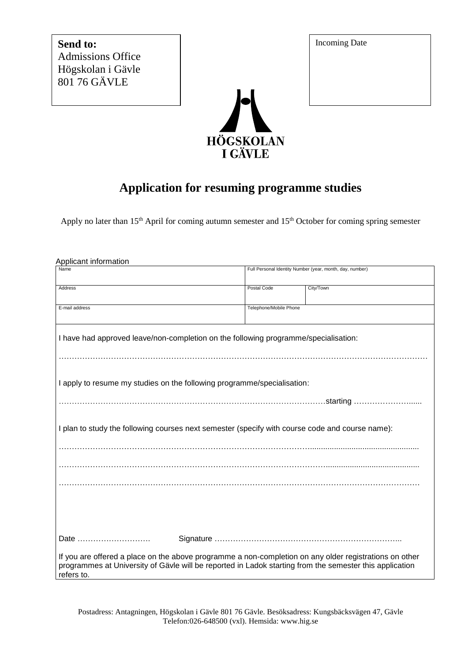**Send to:** Admissions Office Högskolan i Gävle 801 76 GÄVLE



## **Application for resuming programme studies**

Apply no later than 15<sup>th</sup> April for coming autumn semester and 15<sup>th</sup> October for coming spring semester

| Applicant information                                                                                                                                                                                                           |                        |                                                          |  |  |
|---------------------------------------------------------------------------------------------------------------------------------------------------------------------------------------------------------------------------------|------------------------|----------------------------------------------------------|--|--|
| Name                                                                                                                                                                                                                            |                        | Full Personal Identity Number (year, month, day, number) |  |  |
| Address                                                                                                                                                                                                                         | Postal Code            | City/Town                                                |  |  |
| E-mail address                                                                                                                                                                                                                  | Telephone/Mobile Phone |                                                          |  |  |
| I have had approved leave/non-completion on the following programme/specialisation:                                                                                                                                             |                        |                                                          |  |  |
|                                                                                                                                                                                                                                 |                        |                                                          |  |  |
| I apply to resume my studies on the following programme/specialisation:                                                                                                                                                         |                        |                                                          |  |  |
|                                                                                                                                                                                                                                 |                        |                                                          |  |  |
| I plan to study the following courses next semester (specify with course code and course name):                                                                                                                                 |                        |                                                          |  |  |
|                                                                                                                                                                                                                                 |                        |                                                          |  |  |
|                                                                                                                                                                                                                                 |                        |                                                          |  |  |
|                                                                                                                                                                                                                                 |                        |                                                          |  |  |
|                                                                                                                                                                                                                                 |                        |                                                          |  |  |
| Date                                                                                                                                                                                                                            |                        |                                                          |  |  |
| If you are offered a place on the above programme a non-completion on any older registrations on other<br>programmes at University of Gävle will be reported in Ladok starting from the semester this application<br>refers to. |                        |                                                          |  |  |

Incoming Date